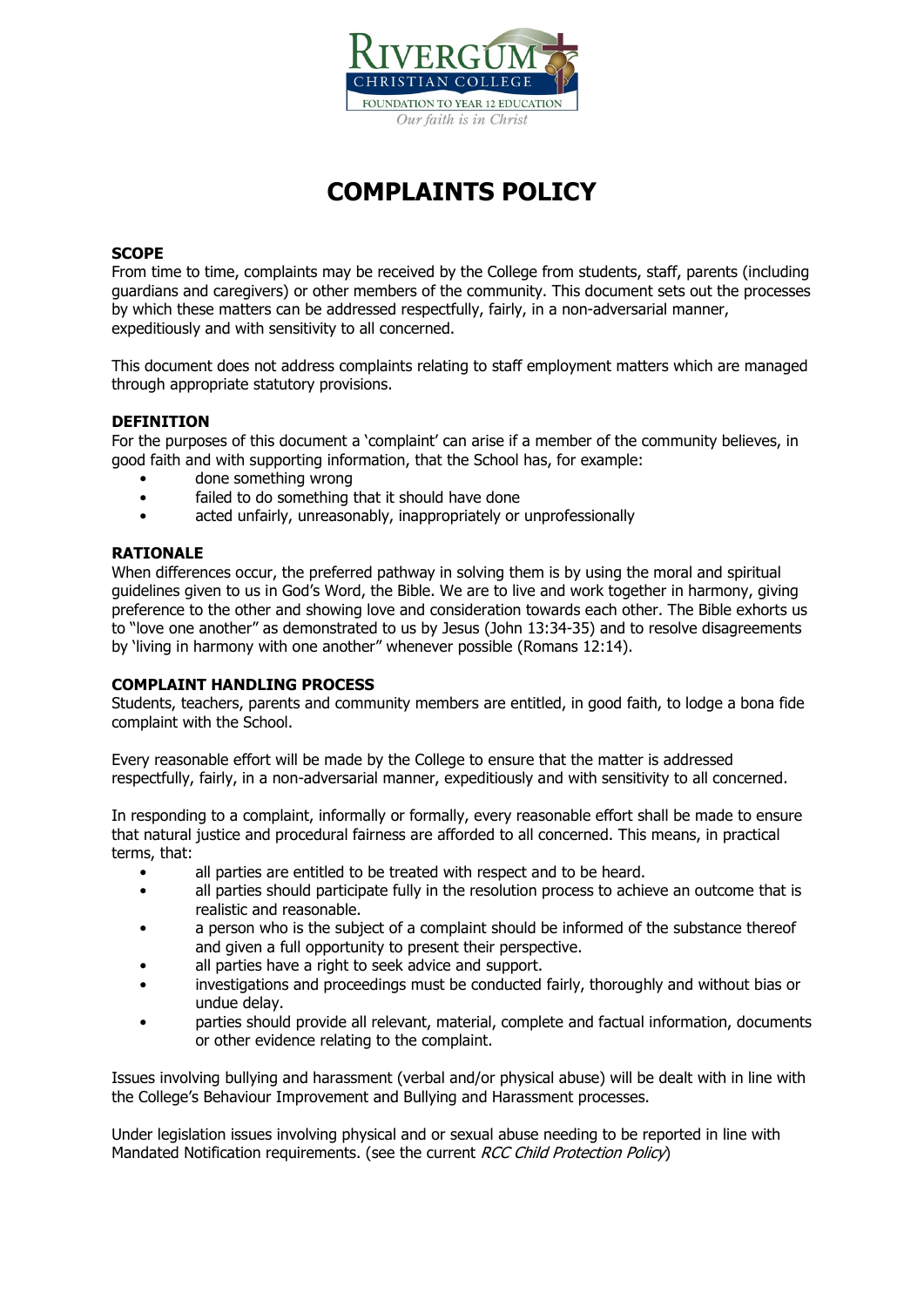

# **COMPLAINTS POLICY**

#### **SCOPE**

From time to time, complaints may be received by the College from students, staff, parents (including guardians and caregivers) or other members of the community. This document sets out the processes by which these matters can be addressed respectfully, fairly, in a non-adversarial manner, expeditiously and with sensitivity to all concerned.

This document does not address complaints relating to staff employment matters which are managed through appropriate statutory provisions.

#### **DEFINITION**

For the purposes of this document a 'complaint' can arise if a member of the community believes, in good faith and with supporting information, that the School has, for example:

- done something wrong
- failed to do something that it should have done
- acted unfairly, unreasonably, inappropriately or unprofessionally

#### **RATIONALE**

When differences occur, the preferred pathway in solving them is by using the moral and spiritual guidelines given to us in God's Word, the Bible. We are to live and work together in harmony, giving preference to the other and showing love and consideration towards each other. The Bible exhorts us to "love one another" as demonstrated to us by Jesus (John 13:34-35) and to resolve disagreements by 'living in harmony with one another" whenever possible (Romans 12:14).

#### **COMPLAINT HANDLING PROCESS**

Students, teachers, parents and community members are entitled, in good faith, to lodge a bona fide complaint with the School.

Every reasonable effort will be made by the College to ensure that the matter is addressed respectfully, fairly, in a non-adversarial manner, expeditiously and with sensitivity to all concerned.

In responding to a complaint, informally or formally, every reasonable effort shall be made to ensure that natural justice and procedural fairness are afforded to all concerned. This means, in practical terms, that:

- all parties are entitled to be treated with respect and to be heard.
- all parties should participate fully in the resolution process to achieve an outcome that is realistic and reasonable.
- a person who is the subject of a complaint should be informed of the substance thereof and given a full opportunity to present their perspective.
- all parties have a right to seek advice and support.
- investigations and proceedings must be conducted fairly, thoroughly and without bias or undue delay.
- parties should provide all relevant, material, complete and factual information, documents or other evidence relating to the complaint.

Issues involving bullying and harassment (verbal and/or physical abuse) will be dealt with in line with the College's Behaviour Improvement and Bullying and Harassment processes.

Under legislation issues involving physical and or sexual abuse needing to be reported in line with Mandated Notification requirements. (see the current RCC Child Protection Policy)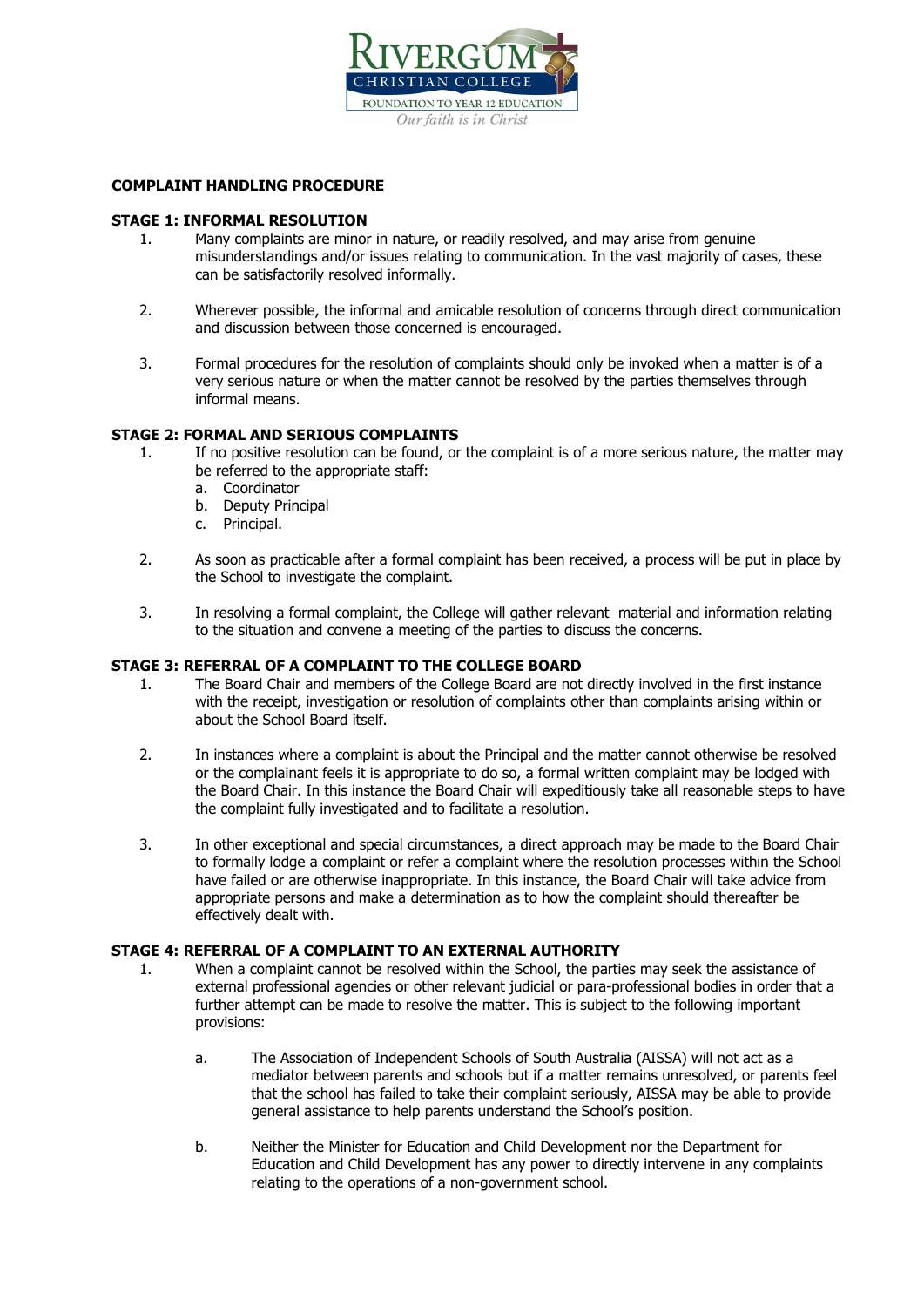

#### **COMPLAINT HANDLING PROCEDURE**

#### **STAGE 1: INFORMAL RESOLUTION**

- 1. Many complaints are minor in nature, or readily resolved, and may arise from genuine misunderstandings and/or issues relating to communication. In the vast majority of cases, these can be satisfactorily resolved informally.
- 2. Wherever possible, the informal and amicable resolution of concerns through direct communication and discussion between those concerned is encouraged.
- 3. Formal procedures for the resolution of complaints should only be invoked when a matter is of a very serious nature or when the matter cannot be resolved by the parties themselves through informal means.

#### **STAGE 2: FORMAL AND SERIOUS COMPLAINTS**

- 1. If no positive resolution can be found, or the complaint is of a more serious nature, the matter may be referred to the appropriate staff:
	- a. Coordinator
	- b. Deputy Principal
	- c. Principal.
- 2. As soon as practicable after a formal complaint has been received, a process will be put in place by the School to investigate the complaint.
- 3. In resolving a formal complaint, the College will gather relevant material and information relating to the situation and convene a meeting of the parties to discuss the concerns.

#### **STAGE 3: REFERRAL OF A COMPLAINT TO THE COLLEGE BOARD**

- 1. The Board Chair and members of the College Board are not directly involved in the first instance with the receipt, investigation or resolution of complaints other than complaints arising within or about the School Board itself.
- 2. In instances where a complaint is about the Principal and the matter cannot otherwise be resolved or the complainant feels it is appropriate to do so, a formal written complaint may be lodged with the Board Chair. In this instance the Board Chair will expeditiously take all reasonable steps to have the complaint fully investigated and to facilitate a resolution.
- 3. In other exceptional and special circumstances, a direct approach may be made to the Board Chair to formally lodge a complaint or refer a complaint where the resolution processes within the School have failed or are otherwise inappropriate. In this instance, the Board Chair will take advice from appropriate persons and make a determination as to how the complaint should thereafter be effectively dealt with.

#### **STAGE 4: REFERRAL OF A COMPLAINT TO AN EXTERNAL AUTHORITY**

- 1. When a complaint cannot be resolved within the School, the parties may seek the assistance of external professional agencies or other relevant judicial or para-professional bodies in order that a further attempt can be made to resolve the matter. This is subject to the following important provisions:
	- a. The Association of Independent Schools of South Australia (AISSA) will not act as a mediator between parents and schools but if a matter remains unresolved, or parents feel that the school has failed to take their complaint seriously, AISSA may be able to provide general assistance to help parents understand the School's position.
	- b. Neither the Minister for Education and Child Development nor the Department for Education and Child Development has any power to directly intervene in any complaints relating to the operations of a non-government school.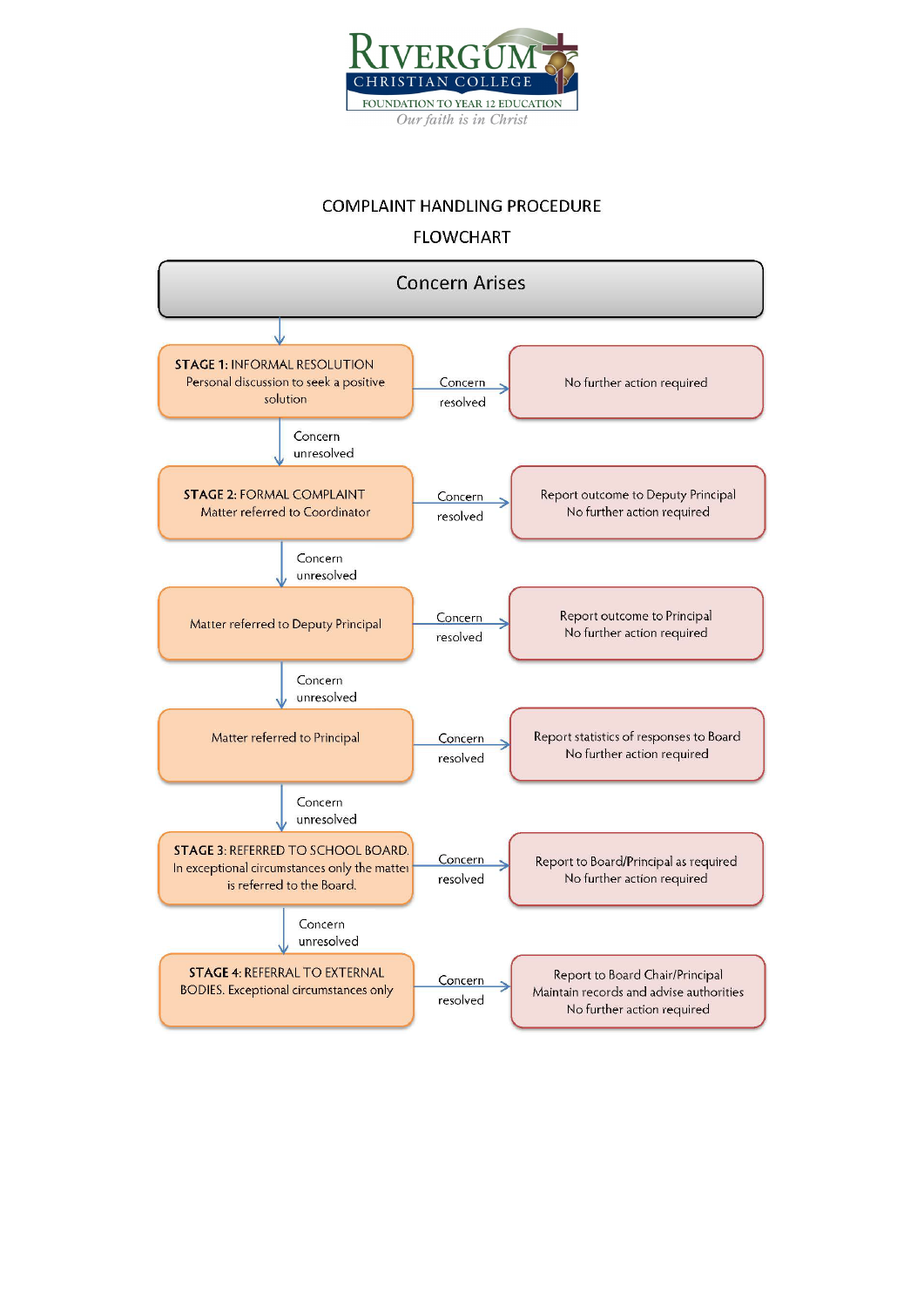

### **COMPLAINT HANDLING PROCEDURE**

## **FLOWCHART**